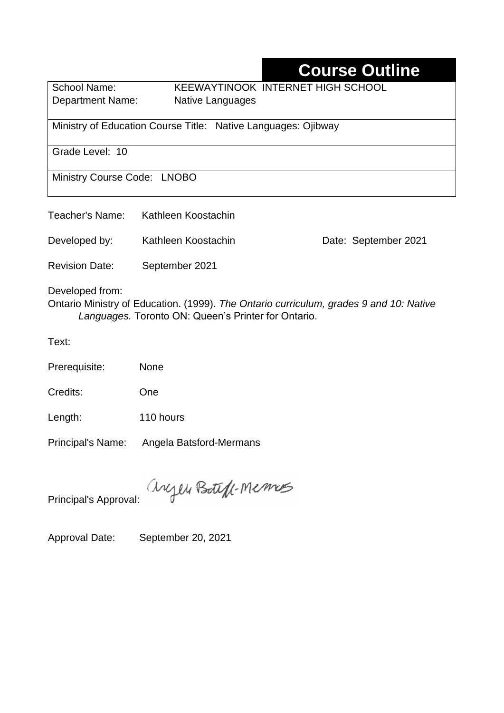# **Course Outline**

School Name: KEEWAYTINOOK INTERNET HIGH SCHOOL Department Name:Native Languages

Ministry of Education Course Title:Native Languages: Ojibway

Grade Level: 10

Ministry Course Code: LNOBO

Developed by: Kathleen Koostachin Date: September 2021

Revision Date: September 2021

Developed from:

Ontario Ministry of Education. (1999). *The Ontario curriculum, grades 9 and 10: Native Languages.* Toronto ON: Queen's Printer for Ontario.

Text:

Prerequisite: None

Credits: One

Length: 110 hours

Principal's Name: Angela Batsford-Mermans

anyen Boteff-Memos

Principal's Approval:

Approval Date: September 20, 2021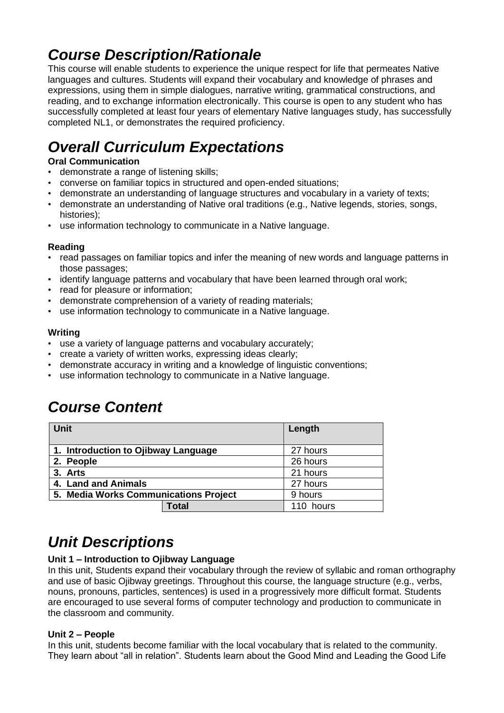# *Course Description/Rationale*

This course will enable students to experience the unique respect for life that permeates Native languages and cultures. Students will expand their vocabulary and knowledge of phrases and expressions, using them in simple dialogues, narrative writing, grammatical constructions, and reading, and to exchange information electronically. This course is open to any student who has successfully completed at least four years of elementary Native languages study, has successfully completed NL1, or demonstrates the required proficiency.

# *Overall Curriculum Expectations*

#### **Oral Communication**

- demonstrate a range of listening skills;
- converse on familiar topics in structured and open-ended situations;
- demonstrate an understanding of language structures and vocabulary in a variety of texts;
- demonstrate an understanding of Native oral traditions (e.g., Native legends, stories, songs, histories);
- use information technology to communicate in a Native language.

#### **Reading**

- read passages on familiar topics and infer the meaning of new words and language patterns in those passages;
- identify language patterns and vocabulary that have been learned through oral work;
- read for pleasure or information:
- demonstrate comprehension of a variety of reading materials;
- use information technology to communicate in a Native language.

#### **Writing**

- use a variety of language patterns and vocabulary accurately;
- create a variety of written works, expressing ideas clearly;
- demonstrate accuracy in writing and a knowledge of linguistic conventions;
- use information technology to communicate in a Native language.

### *Course Content*

| <b>Unit</b>                           |              | Length    |
|---------------------------------------|--------------|-----------|
| 1. Introduction to Ojibway Language   | 27 hours     |           |
| 2. People                             |              | 26 hours  |
| 3. Arts                               |              | 21 hours  |
| 4. Land and Animals                   |              | 27 hours  |
| 5. Media Works Communications Project |              | 9 hours   |
|                                       | <b>Total</b> | 110 hours |

## *Unit Descriptions*

#### **Unit 1 – Introduction to Ojibway Language**

In this unit, Students expand their vocabulary through the review of syllabic and roman orthography and use of basic Ojibway greetings. Throughout this course, the language structure (e.g., verbs, nouns, pronouns, particles, sentences) is used in a progressively more difficult format. Students are encouraged to use several forms of computer technology and production to communicate in the classroom and community.

#### **Unit 2 – People**

In this unit, students become familiar with the local vocabulary that is related to the community. They learn about "all in relation". Students learn about the Good Mind and Leading the Good Life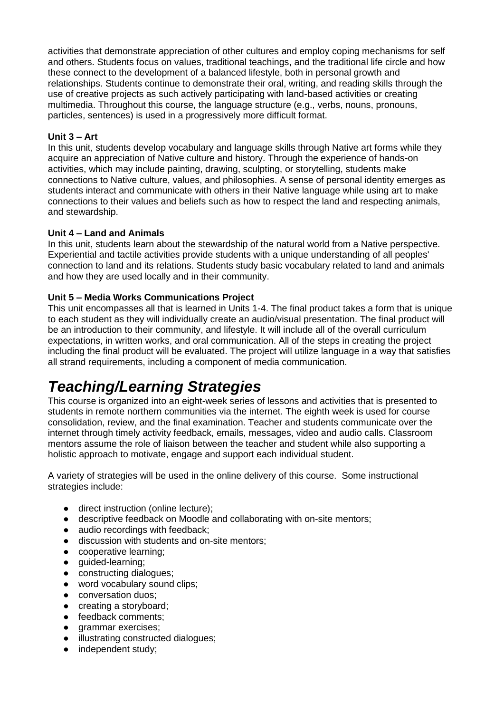activities that demonstrate appreciation of other cultures and employ coping mechanisms for self and others. Students focus on values, traditional teachings, and the traditional life circle and how these connect to the development of a balanced lifestyle, both in personal growth and relationships. Students continue to demonstrate their oral, writing, and reading skills through the use of creative projects as such actively participating with land-based activities or creating multimedia. Throughout this course, the language structure (e.g., verbs, nouns, pronouns, particles, sentences) is used in a progressively more difficult format.

#### **Unit 3 – Art**

In this unit, students develop vocabulary and language skills through Native art forms while they acquire an appreciation of Native culture and history. Through the experience of hands-on activities, which may include painting, drawing, sculpting, or storytelling, students make connections to Native culture, values, and philosophies. A sense of personal identity emerges as students interact and communicate with others in their Native language while using art to make connections to their values and beliefs such as how to respect the land and respecting animals, and stewardship.

#### **Unit 4 – Land and Animals**

In this unit, students learn about the stewardship of the natural world from a Native perspective. Experiential and tactile activities provide students with a unique understanding of all peoples' connection to land and its relations. Students study basic vocabulary related to land and animals and how they are used locally and in their community.

#### **Unit 5 – Media Works Communications Project**

This unit encompasses all that is learned in Units 1-4. The final product takes a form that is unique to each student as they will individually create an audio/visual presentation. The final product will be an introduction to their community, and lifestyle. It will include all of the overall curriculum expectations, in written works, and oral communication. All of the steps in creating the project including the final product will be evaluated. The project will utilize language in a way that satisfies all strand requirements, including a component of media communication.

## *Teaching/Learning Strategies*

This course is organized into an eight-week series of lessons and activities that is presented to students in remote northern communities via the internet. The eighth week is used for course consolidation, review, and the final examination. Teacher and students communicate over the internet through timely activity feedback, emails, messages, video and audio calls. Classroom mentors assume the role of liaison between the teacher and student while also supporting a holistic approach to motivate, engage and support each individual student.

A variety of strategies will be used in the online delivery of this course. Some instructional strategies include:

- direct instruction (online lecture):
- descriptive feedback on Moodle and collaborating with on-site mentors;
- audio recordings with feedback;
- discussion with students and on-site mentors;
- cooperative learning;
- guided-learning;
- constructing dialogues;
- word vocabulary sound clips;
- conversation duos:
- creating a storyboard;
- feedback comments:
- grammar exercises;
- illustrating constructed dialogues;
- independent study;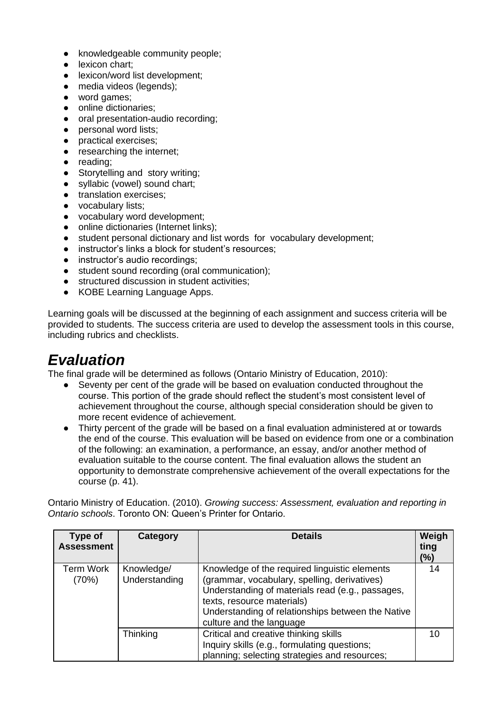- knowledgeable community people;
- lexicon chart:
- lexicon/word list development;
- media videos (legends);
- word games;
- online dictionaries;
- oral presentation-audio recording:
- personal word lists;
- practical exercises;
- researching the internet;
- reading;
- Storytelling and story writing:
- syllabic (vowel) sound chart;
- **•** translation exercises;
- vocabulary lists;
- vocabulary word development;
- online dictionaries (Internet links);
- student personal dictionary and list words for vocabulary development;
- instructor's links a block for student's resources:
- instructor's audio recordings:
- student sound recording (oral communication);
- structured discussion in student activities:
- KOBE Learning Language Apps.

Learning goals will be discussed at the beginning of each assignment and success criteria will be provided to students. The success criteria are used to develop the assessment tools in this course, including rubrics and checklists.

### *Evaluation*

The final grade will be determined as follows (Ontario Ministry of Education, 2010):

- Seventy per cent of the grade will be based on evaluation conducted throughout the course. This portion of the grade should reflect the student's most consistent level of achievement throughout the course, although special consideration should be given to more recent evidence of achievement.
- Thirty percent of the grade will be based on a final evaluation administered at or towards the end of the course. This evaluation will be based on evidence from one or a combination of the following: an examination, a performance, an essay, and/or another method of evaluation suitable to the course content. The final evaluation allows the student an opportunity to demonstrate comprehensive achievement of the overall expectations for the course (p. 41).

Ontario Ministry of Education. (2010). *Growing success: Assessment, evaluation and reporting in Ontario schools*. Toronto ON: Queen's Printer for Ontario.

| Type of<br><b>Assessment</b> | Category                    | <b>Details</b>                                                                                                                                                                                                                                                   | Weigh<br>ting<br>(%) |
|------------------------------|-----------------------------|------------------------------------------------------------------------------------------------------------------------------------------------------------------------------------------------------------------------------------------------------------------|----------------------|
| <b>Term Work</b><br>(70%)    | Knowledge/<br>Understanding | Knowledge of the required linguistic elements<br>(grammar, vocabulary, spelling, derivatives)<br>Understanding of materials read (e.g., passages,<br>texts, resource materials)<br>Understanding of relationships between the Native<br>culture and the language | 14                   |
|                              | <b>Thinking</b>             | Critical and creative thinking skills<br>Inquiry skills (e.g., formulating questions;<br>planning; selecting strategies and resources;                                                                                                                           | 10                   |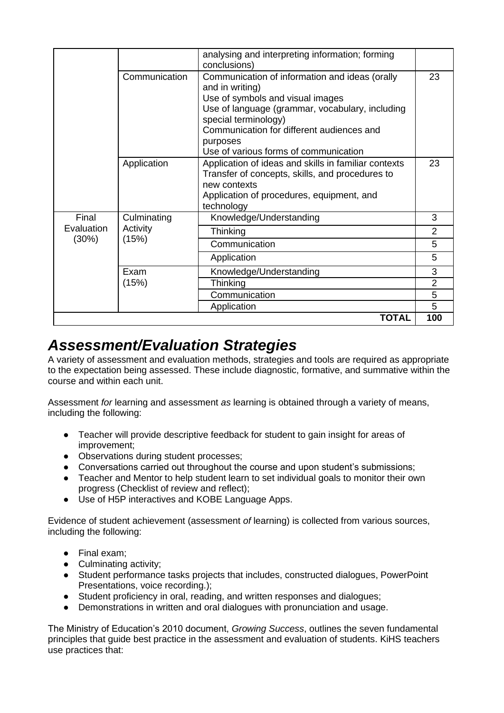|                     |                   | analysing and interpreting information; forming<br>conclusions)                                                                                                                                                                                                                    |                |
|---------------------|-------------------|------------------------------------------------------------------------------------------------------------------------------------------------------------------------------------------------------------------------------------------------------------------------------------|----------------|
|                     | Communication     | Communication of information and ideas (orally<br>and in writing)<br>Use of symbols and visual images<br>Use of language (grammar, vocabulary, including<br>special terminology)<br>Communication for different audiences and<br>purposes<br>Use of various forms of communication | 23             |
|                     | Application       | Application of ideas and skills in familiar contexts<br>Transfer of concepts, skills, and procedures to<br>new contexts<br>Application of procedures, equipment, and<br>technology                                                                                                 | 23             |
| Final               | Culminating       | Knowledge/Understanding                                                                                                                                                                                                                                                            | 3              |
| Evaluation<br>(30%) | Activity<br>(15%) | Thinking                                                                                                                                                                                                                                                                           | $\overline{2}$ |
|                     |                   | Communication                                                                                                                                                                                                                                                                      | 5              |
|                     |                   | Application                                                                                                                                                                                                                                                                        | 5              |
|                     | Exam              | Knowledge/Understanding                                                                                                                                                                                                                                                            | 3              |
|                     | (15%)             | Thinking                                                                                                                                                                                                                                                                           | $\overline{2}$ |
|                     |                   | Communication                                                                                                                                                                                                                                                                      | 5              |
|                     |                   | Application                                                                                                                                                                                                                                                                        | 5              |
|                     |                   | <b>TOTAL</b>                                                                                                                                                                                                                                                                       | 100            |

### *Assessment/Evaluation Strategies*

A variety of assessment and evaluation methods, strategies and tools are required as appropriate to the expectation being assessed. These include diagnostic, formative, and summative within the course and within each unit.

Assessment *for* learning and assessment *as* learning is obtained through a variety of means, including the following:

- Teacher will provide descriptive feedback for student to gain insight for areas of improvement;
- Observations during student processes;
- Conversations carried out throughout the course and upon student's submissions;
- Teacher and Mentor to help student learn to set individual goals to monitor their own progress (Checklist of review and reflect);
- Use of H5P interactives and KOBE Language Apps.

Evidence of student achievement (assessment *of* learning) is collected from various sources, including the following:

- Final exam;
- Culminating activity:
- Student performance tasks projects that includes, constructed dialogues, PowerPoint Presentations, voice recording.);
- Student proficiency in oral, reading, and written responses and dialogues;
- Demonstrations in written and oral dialogues with pronunciation and usage.

The Ministry of Education's 2010 document, *Growing Success*, outlines the seven fundamental principles that guide best practice in the assessment and evaluation of students. KiHS teachers use practices that: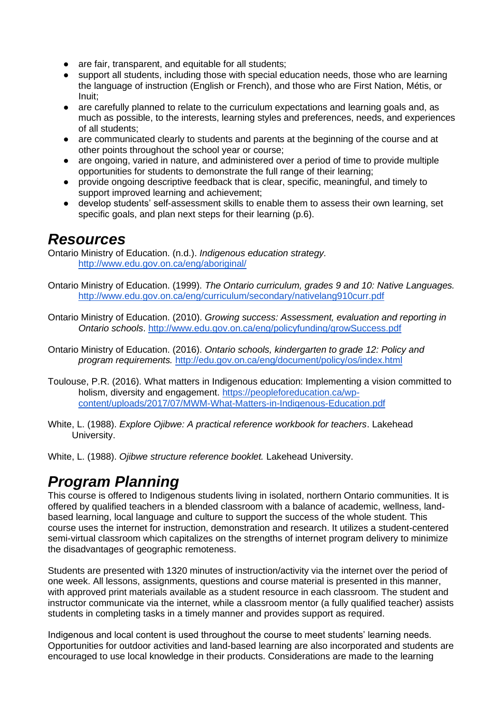- are fair, transparent, and equitable for all students:
- support all students, including those with special education needs, those who are learning the language of instruction (English or French), and those who are First Nation, Métis, or Inuit;
- are carefully planned to relate to the curriculum expectations and learning goals and, as much as possible, to the interests, learning styles and preferences, needs, and experiences of all students;
- are communicated clearly to students and parents at the beginning of the course and at other points throughout the school year or course;
- are ongoing, varied in nature, and administered over a period of time to provide multiple opportunities for students to demonstrate the full range of their learning;
- provide ongoing descriptive feedback that is clear, specific, meaningful, and timely to support improved learning and achievement;
- develop students' self-assessment skills to enable them to assess their own learning, set specific goals, and plan next steps for their learning (p.6).

### *Resources*

Ontario Ministry of Education. (n.d.). *Indigenous education strategy.* <http://www.edu.gov.on.ca/eng/aboriginal/>

- Ontario Ministry of Education. (1999). *The Ontario curriculum, grades 9 and 10: Native Languages.*  <http://www.edu.gov.on.ca/eng/curriculum/secondary/nativelang910curr.pdf>
- Ontario Ministry of Education. (2010). *Growing success: Assessment, evaluation and reporting in Ontario schools*.<http://www.edu.gov.on.ca/eng/policyfunding/growSuccess.pdf>

Ontario Ministry of Education. (2016). *Ontario schools, kindergarten to grade 12: Policy and program requirements.* <http://edu.gov.on.ca/eng/document/policy/os/index.html>

- Toulouse, P.R. (2016). What matters in Indigenous education: Implementing a vision committed to holism, diversity and engagement. [https://peopleforeducation.ca/wp](https://peopleforeducation.ca/wp-content/uploads/2017/07/MWM-What-Matters-in-Indigenous-Education.pdf)[content/uploads/2017/07/MWM-What-Matters-in-Indigenous-Education.pdf](https://peopleforeducation.ca/wp-content/uploads/2017/07/MWM-What-Matters-in-Indigenous-Education.pdf)
- White, L. (1988). *Explore Ojibwe: A practical reference workbook for teachers*. Lakehead University.
- White, L. (1988). *Ojibwe structure reference booklet.* Lakehead University.

# *Program Planning*

This course is offered to Indigenous students living in isolated, northern Ontario communities. It is offered by qualified teachers in a blended classroom with a balance of academic, wellness, landbased learning, local language and culture to support the success of the whole student. This course uses the internet for instruction, demonstration and research. It utilizes a student-centered semi-virtual classroom which capitalizes on the strengths of internet program delivery to minimize the disadvantages of geographic remoteness.

Students are presented with 1320 minutes of instruction/activity via the internet over the period of one week. All lessons, assignments, questions and course material is presented in this manner, with approved print materials available as a student resource in each classroom. The student and instructor communicate via the internet, while a classroom mentor (a fully qualified teacher) assists students in completing tasks in a timely manner and provides support as required.

Indigenous and local content is used throughout the course to meet students' learning needs. Opportunities for outdoor activities and land-based learning are also incorporated and students are encouraged to use local knowledge in their products. Considerations are made to the learning